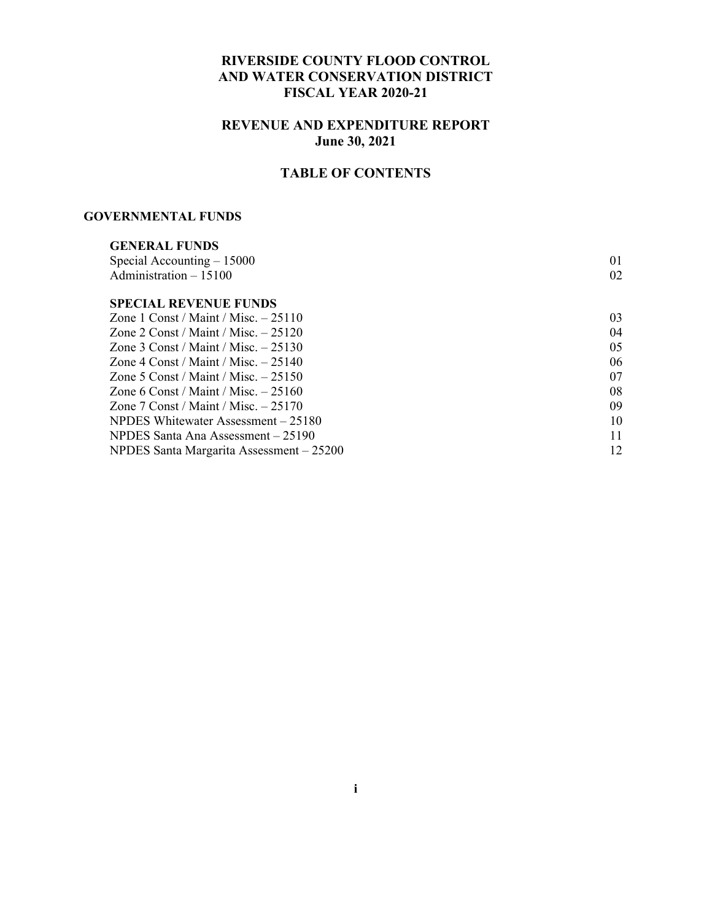#### **RIVERSIDE COUNTY FLOOD CONTROL AND WATER CONSERVATION DISTRICT FISCAL YEAR 2020-21**

### **REVENUE AND EXPENDITURE REPORT June 30, 2021**

#### **TABLE OF CONTENTS**

#### **GOVERNMENTAL FUNDS**

| <b>GENERAL FUNDS</b>                     |    |
|------------------------------------------|----|
| Special Accounting $-15000$              | 01 |
| Administration $-15100$                  | 02 |
| <b>SPECIAL REVENUE FUNDS</b>             |    |
| Zone 1 Const / Maint / Misc. $-25110$    | 03 |
| Zone 2 Const / Maint / Misc. $-25120$    | 04 |
| Zone 3 Const / Maint / Misc. $-25130$    | 05 |
| Zone 4 Const / Maint / Misc. $-25140$    | 06 |
| Zone 5 Const / Maint / Misc. $-25150$    | 07 |
| Zone 6 Const / Maint / Misc. $-25160$    | 08 |
| Zone 7 Const / Maint / Misc. $-25170$    | 09 |
| NPDES Whitewater Assessment – 25180      | 10 |
| NPDES Santa Ana Assessment – 25190       | 11 |
| NPDES Santa Margarita Assessment - 25200 | 12 |
|                                          |    |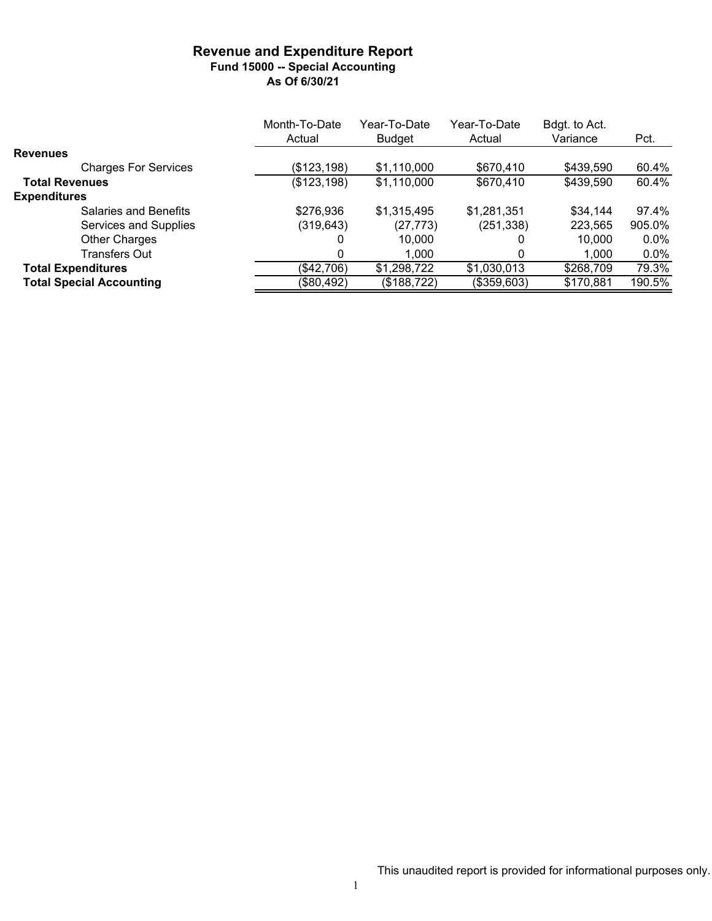#### **Revenue and Expenditure Report Fund 15000 -- Special Accounting As Of 6/30/21**

|                                 | Month-To-Date | Year-To-Date  | Year-To-Date | Bdgt. to Act. |         |
|---------------------------------|---------------|---------------|--------------|---------------|---------|
|                                 | Actual        | <b>Budget</b> | Actual       | Variance      | Pct.    |
| <b>Revenues</b>                 |               |               |              |               |         |
| <b>Charges For Services</b>     | (\$123, 198)  | \$1,110,000   | \$670,410    | \$439,590     | 60.4%   |
| <b>Total Revenues</b>           | (\$123,198)   | \$1,110,000   | \$670,410    | \$439,590     | 60.4%   |
| <b>Expenditures</b>             |               |               |              |               |         |
| Salaries and Benefits           | \$276,936     | \$1,315,495   | \$1,281,351  | \$34,144      | 97.4%   |
| Services and Supplies           | (319, 643)    | (27, 773)     | (251, 338)   | 223,565       | 905.0%  |
| <b>Other Charges</b>            | 0             | 10,000        |              | 10,000        | $0.0\%$ |
| Transfers Out                   |               | 1,000         |              | 1,000         | $0.0\%$ |
| <b>Total Expenditures</b>       | (\$42,706)    | \$1,298,722   | \$1,030,013  | \$268,709     | 79.3%   |
| <b>Total Special Accounting</b> | (\$80,492)    | (\$188,722)   | (\$359,603)  | \$170,881     | 190.5%  |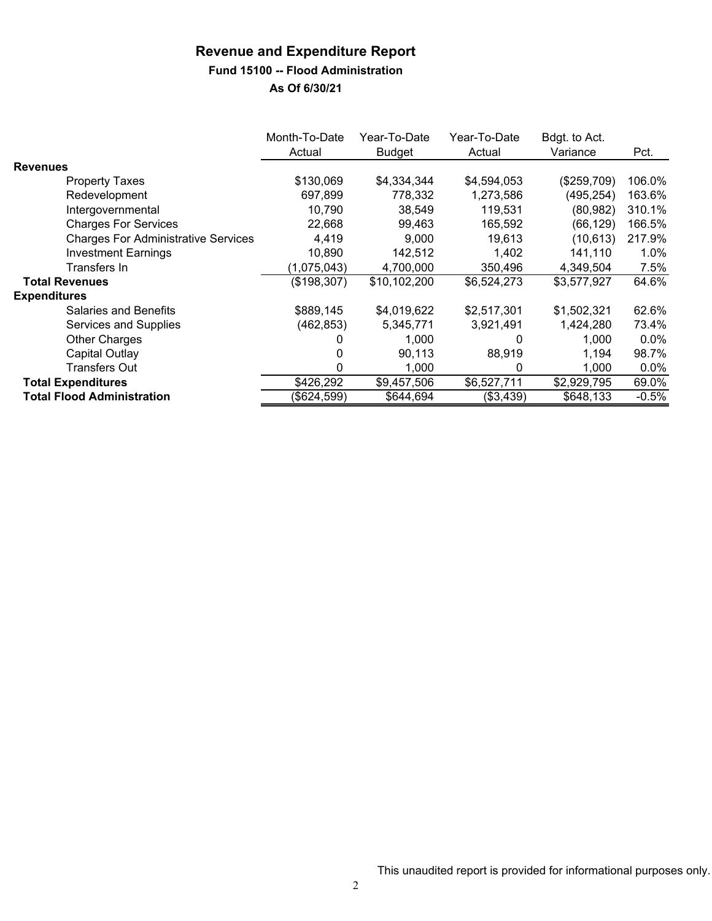### **Fund 15100 -- Flood Administration**

|                                            | Month-To-Date<br>Actual | Year-To-Date<br>Budget | Year-To-Date<br>Actual | Bdgt. to Act.<br>Variance | Pct.    |
|--------------------------------------------|-------------------------|------------------------|------------------------|---------------------------|---------|
| <b>Revenues</b>                            |                         |                        |                        |                           |         |
| <b>Property Taxes</b>                      | \$130,069               | \$4,334,344            | \$4,594,053            | (\$259,709)               | 106.0%  |
| Redevelopment                              | 697,899                 | 778,332                | 1,273,586              | (495, 254)                | 163.6%  |
| Intergovernmental                          | 10.790                  | 38.549                 | 119,531                | (80, 982)                 | 310.1%  |
| <b>Charges For Services</b>                | 22,668                  | 99.463                 | 165,592                | (66,129)                  | 166.5%  |
| <b>Charges For Administrative Services</b> | 4,419                   | 9,000                  | 19,613                 | (10, 613)                 | 217.9%  |
| <b>Investment Earnings</b>                 | 10,890                  | 142,512                | 1,402                  | 141,110                   | 1.0%    |
| Transfers In                               | (1,075,043)             | 4,700,000              | 350,496                | 4,349,504                 | 7.5%    |
| <b>Total Revenues</b>                      | (\$198,307)             | \$10,102,200           | \$6,524,273            | \$3,577,927               | 64.6%   |
| <b>Expenditures</b>                        |                         |                        |                        |                           |         |
| <b>Salaries and Benefits</b>               | \$889,145               | \$4,019,622            | \$2,517,301            | \$1,502,321               | 62.6%   |
| Services and Supplies                      | (462, 853)              | 5,345,771              | 3,921,491              | 1,424,280                 | 73.4%   |
| Other Charges                              |                         | 1,000                  |                        | 1.000                     | $0.0\%$ |
| Capital Outlay                             |                         | 90.113                 | 88,919                 | 1,194                     | 98.7%   |
| Transfers Out                              | 0                       | 1,000                  | 0                      | 1,000                     | $0.0\%$ |
| <b>Total Expenditures</b>                  | \$426,292               | \$9,457,506            | \$6,527,711            | \$2,929,795               | 69.0%   |
| <b>Total Flood Administration</b>          | (\$624,599)             | \$644,694              | (\$3,439)              | \$648,133                 | $-0.5%$ |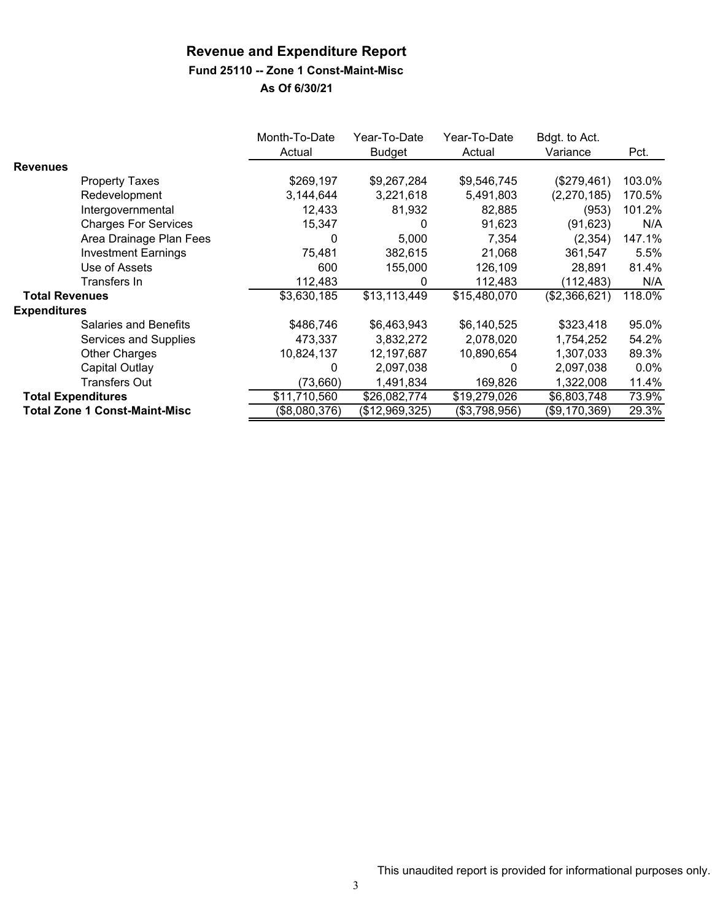#### **Fund 25110 -- Zone 1 Const-Maint-Misc**

|                       |                                      | Month-To-Date<br>Actual | Year-To-Date<br><b>Budget</b> | Year-To-Date<br>Actual | Bdgt. to Act.<br>Variance | Pct.    |
|-----------------------|--------------------------------------|-------------------------|-------------------------------|------------------------|---------------------------|---------|
| <b>Revenues</b>       |                                      |                         |                               |                        |                           |         |
|                       | <b>Property Taxes</b>                | \$269,197               | \$9,267,284                   | \$9,546,745            | (\$279,461)               | 103.0%  |
|                       | Redevelopment                        | 3,144,644               | 3,221,618                     | 5,491,803              | (2,270,185)               | 170.5%  |
|                       | Intergovernmental                    | 12,433                  | 81,932                        | 82,885                 | (953)                     | 101.2%  |
|                       | <b>Charges For Services</b>          | 15,347                  | 0                             | 91,623                 | (91, 623)                 | N/A     |
|                       | Area Drainage Plan Fees              | $\Omega$                | 5,000                         | 7,354                  | (2, 354)                  | 147.1%  |
|                       | <b>Investment Earnings</b>           | 75,481                  | 382,615                       | 21,068                 | 361,547                   | 5.5%    |
|                       | Use of Assets                        | 600                     | 155,000                       | 126,109                | 28,891                    | 81.4%   |
|                       | Transfers In                         | 112,483                 | 0                             | 112,483                | (112,483)                 | N/A     |
| <b>Total Revenues</b> |                                      | \$3,630,185             | \$13,113,449                  | \$15,480,070           | (\$2,366,621)             | 118.0%  |
| <b>Expenditures</b>   |                                      |                         |                               |                        |                           |         |
|                       | <b>Salaries and Benefits</b>         | \$486,746               | \$6,463,943                   | \$6,140,525            | \$323,418                 | 95.0%   |
|                       | Services and Supplies                | 473,337                 | 3,832,272                     | 2,078,020              | 1,754,252                 | 54.2%   |
|                       | <b>Other Charges</b>                 | 10,824,137              | 12,197,687                    | 10,890,654             | 1,307,033                 | 89.3%   |
|                       | Capital Outlay                       | 0                       | 2,097,038                     | 0                      | 2,097,038                 | $0.0\%$ |
|                       | <b>Transfers Out</b>                 | (73,660)                | 1,491,834                     | 169,826                | 1,322,008                 | 11.4%   |
|                       | <b>Total Expenditures</b>            | \$11,710,560            | \$26,082,774                  | \$19,279,026           | \$6,803,748               | 73.9%   |
|                       | <b>Total Zone 1 Const-Maint-Misc</b> | (\$8,080,376)           | (\$12,969,325)                | (\$3,798,956)          | (\$9,170,369)             | 29.3%   |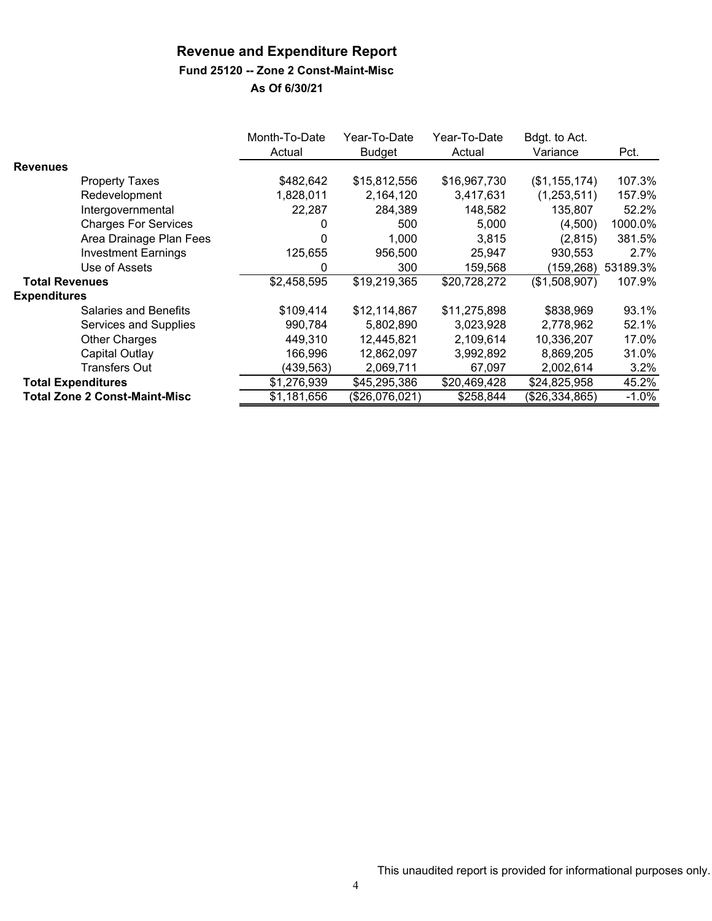#### **Fund 25120 -- Zone 2 Const-Maint-Misc**

|                           |                                      | Month-To-Date<br>Actual | Year-To-Date<br><b>Budget</b> | Year-To-Date<br>Actual | Bdgt. to Act.<br>Variance | Pct.     |
|---------------------------|--------------------------------------|-------------------------|-------------------------------|------------------------|---------------------------|----------|
| <b>Revenues</b>           |                                      |                         |                               |                        |                           |          |
|                           | <b>Property Taxes</b>                | \$482,642               | \$15,812,556                  | \$16,967,730           | (\$1,155,174)             | 107.3%   |
|                           | Redevelopment                        | 1,828,011               | 2,164,120                     | 3,417,631              | (1,253,511)               | 157.9%   |
|                           | Intergovernmental                    | 22,287                  | 284,389                       | 148,582                | 135,807                   | 52.2%    |
|                           | <b>Charges For Services</b>          | 0                       | 500                           | 5,000                  | (4,500)                   | 1000.0%  |
|                           | Area Drainage Plan Fees              | 0                       | 1,000                         | 3,815                  | (2,815)                   | 381.5%   |
|                           | <b>Investment Earnings</b>           | 125,655                 | 956,500                       | 25,947                 | 930,553                   | $2.7\%$  |
|                           | Use of Assets                        | 0                       | 300                           | 159,568                | (159,268)                 | 53189.3% |
| <b>Total Revenues</b>     |                                      | $\overline{$2,458,595}$ | \$19,219,365                  | \$20,728,272           | (\$1,508,907)             | 107.9%   |
| <b>Expenditures</b>       |                                      |                         |                               |                        |                           |          |
|                           | <b>Salaries and Benefits</b>         | \$109,414               | \$12,114,867                  | \$11,275,898           | \$838,969                 | 93.1%    |
|                           | Services and Supplies                | 990,784                 | 5,802,890                     | 3.023.928              | 2,778,962                 | 52.1%    |
|                           | <b>Other Charges</b>                 | 449,310                 | 12,445,821                    | 2,109,614              | 10,336,207                | 17.0%    |
|                           | Capital Outlay                       | 166,996                 | 12,862,097                    | 3,992,892              | 8,869,205                 | 31.0%    |
|                           | Transfers Out                        | (439,563)               | 2,069,711                     | 67,097                 | 2,002,614                 | 3.2%     |
| <b>Total Expenditures</b> |                                      | \$1,276,939             | \$45,295,386                  | \$20,469,428           | \$24,825,958              | 45.2%    |
|                           | <b>Total Zone 2 Const-Maint-Misc</b> | \$1,181,656             | (\$26,076,021)                | \$258,844              | (\$26,334,865)            | $-1.0\%$ |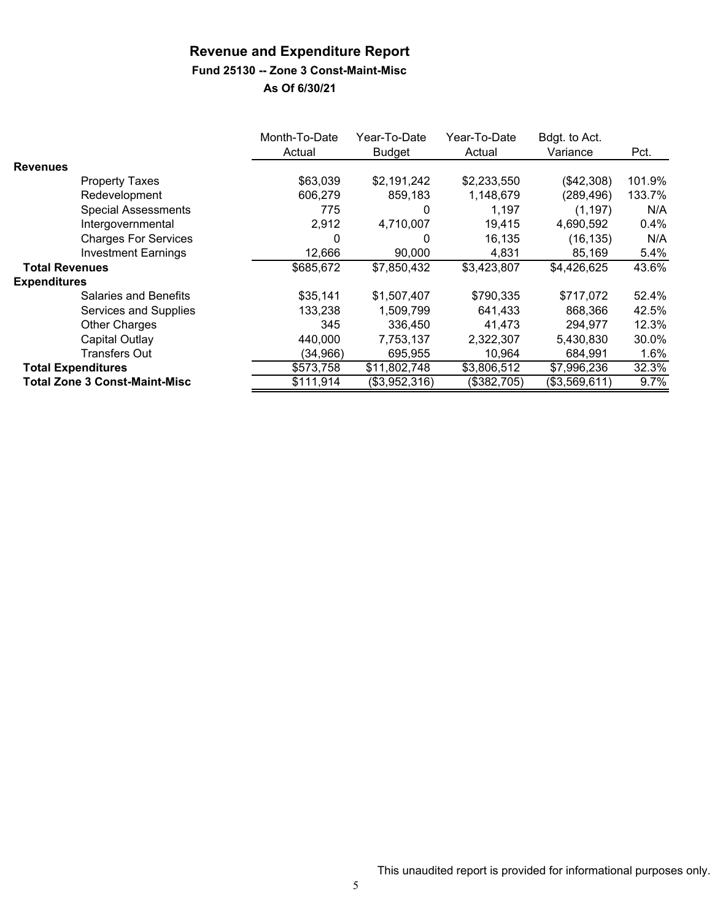### **Fund 25130 -- Zone 3 Const-Maint-Misc**

|                                      | Month-To-Date | Year-To-Date  | Year-To-Date | Bdgt. to Act. |        |
|--------------------------------------|---------------|---------------|--------------|---------------|--------|
|                                      | Actual        | <b>Budget</b> | Actual       | Variance      | Pct.   |
| <b>Revenues</b>                      |               |               |              |               |        |
| <b>Property Taxes</b>                | \$63,039      | \$2,191,242   | \$2,233,550  | (\$42,308)    | 101.9% |
| Redevelopment                        | 606,279       | 859,183       | 1,148,679    | (289, 496)    | 133.7% |
| <b>Special Assessments</b>           | 775           | 0             | 1,197        | (1, 197)      | N/A    |
| Intergovernmental                    | 2,912         | 4,710,007     | 19,415       | 4,690,592     | 0.4%   |
| <b>Charges For Services</b>          | 0             | $\Omega$      | 16,135       | (16, 135)     | N/A    |
| <b>Investment Earnings</b>           | 12,666        | 90,000        | 4,831        | 85,169        | 5.4%   |
| <b>Total Revenues</b>                | \$685,672     | \$7,850,432   | \$3,423,807  | \$4,426,625   | 43.6%  |
| <b>Expenditures</b>                  |               |               |              |               |        |
| Salaries and Benefits                | \$35,141      | \$1,507,407   | \$790,335    | \$717,072     | 52.4%  |
| Services and Supplies                | 133,238       | 1,509,799     | 641,433      | 868,366       | 42.5%  |
| <b>Other Charges</b>                 | 345           | 336,450       | 41,473       | 294,977       | 12.3%  |
| Capital Outlay                       | 440.000       | 7,753,137     | 2,322,307    | 5,430,830     | 30.0%  |
| <b>Transfers Out</b>                 | (34, 966)     | 695,955       | 10,964       | 684,991       | 1.6%   |
| <b>Total Expenditures</b>            | \$573,758     | \$11,802,748  | \$3,806,512  | \$7,996,236   | 32.3%  |
| <b>Total Zone 3 Const-Maint-Misc</b> | \$111,914     | (\$3,952,316) | (\$382,705)  | (\$3,569,611) | 9.7%   |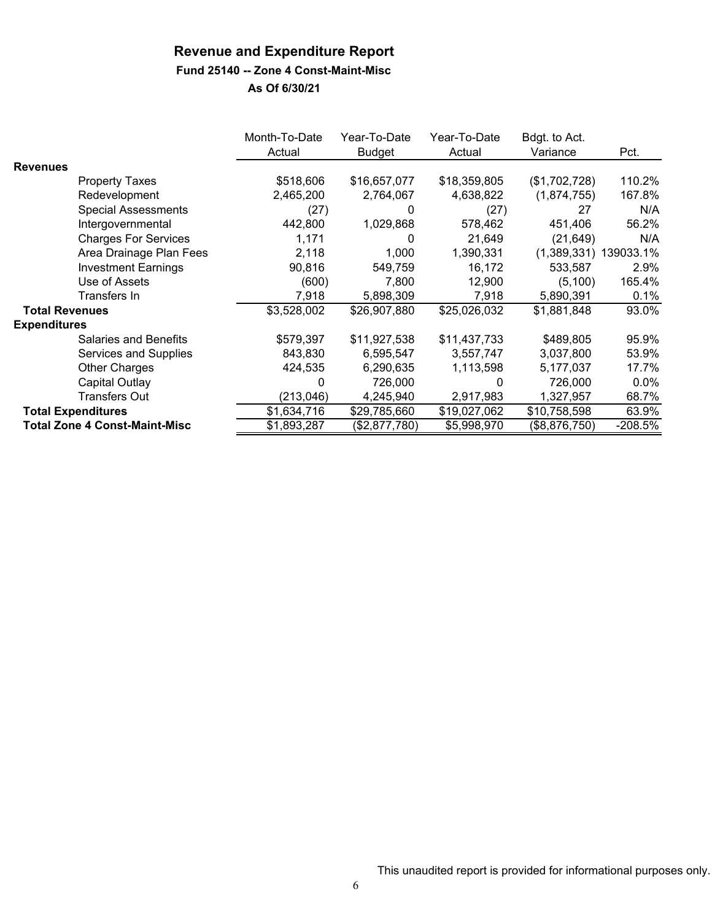#### **Fund 25140 -- Zone 4 Const-Maint-Misc**

|                       |                                      | Month-To-Date | Year-To-Date  | Year-To-Date | Bdgt. to Act. |           |
|-----------------------|--------------------------------------|---------------|---------------|--------------|---------------|-----------|
|                       |                                      | Actual        | <b>Budget</b> | Actual       | Variance      | Pct.      |
| <b>Revenues</b>       |                                      |               |               |              |               |           |
|                       | <b>Property Taxes</b>                | \$518,606     | \$16,657,077  | \$18,359,805 | (\$1,702,728) | 110.2%    |
|                       | Redevelopment                        | 2,465,200     | 2,764,067     | 4,638,822    | (1,874,755)   | 167.8%    |
|                       | <b>Special Assessments</b>           | (27)          | 0             | (27)         | 27            | N/A       |
|                       | Intergovernmental                    | 442,800       | 1,029,868     | 578,462      | 451,406       | 56.2%     |
|                       | <b>Charges For Services</b>          | 1,171         | 0             | 21,649       | (21, 649)     | N/A       |
|                       | Area Drainage Plan Fees              | 2,118         | 1,000         | 1,390,331    | (1,389,331)   | 139033.1% |
|                       | <b>Investment Earnings</b>           | 90,816        | 549,759       | 16,172       | 533,587       | 2.9%      |
|                       | Use of Assets                        | (600)         | 7,800         | 12,900       | (5, 100)      | 165.4%    |
|                       | Transfers In                         | 7,918         | 5,898,309     | 7,918        | 5,890,391     | 0.1%      |
| <b>Total Revenues</b> |                                      | \$3,528,002   | \$26,907,880  | \$25,026,032 | \$1,881,848   | 93.0%     |
| <b>Expenditures</b>   |                                      |               |               |              |               |           |
|                       | <b>Salaries and Benefits</b>         | \$579,397     | \$11,927,538  | \$11,437,733 | \$489,805     | 95.9%     |
|                       | Services and Supplies                | 843,830       | 6,595,547     | 3,557,747    | 3,037,800     | 53.9%     |
|                       | <b>Other Charges</b>                 | 424,535       | 6,290,635     | 1,113,598    | 5,177,037     | 17.7%     |
|                       | Capital Outlay                       | 0             | 726,000       | 0            | 726,000       | $0.0\%$   |
|                       | <b>Transfers Out</b>                 | (213, 046)    | 4,245,940     | 2,917,983    | 1,327,957     | 68.7%     |
|                       | <b>Total Expenditures</b>            | \$1,634,716   | \$29,785,660  | \$19,027,062 | \$10,758,598  | 63.9%     |
|                       | <b>Total Zone 4 Const-Maint-Misc</b> | \$1,893,287   | (\$2,877,780) | \$5,998,970  | (\$8,876,750) | $-208.5%$ |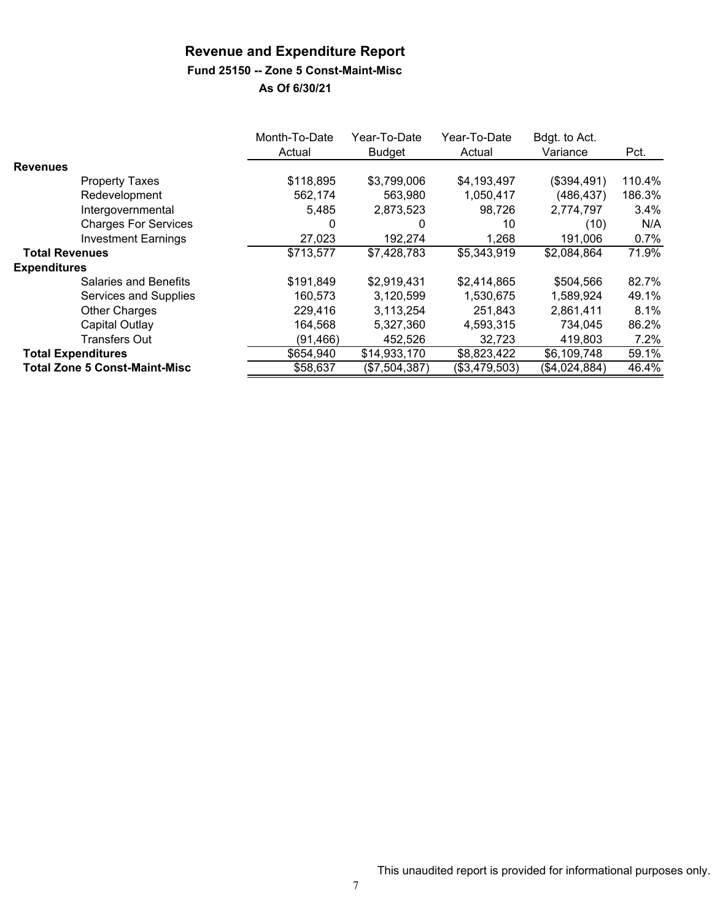#### **Fund 25150 -- Zone 5 Const-Maint-Misc**

|                                      | Month-To-Date<br>Actual | Year-To-Date<br><b>Budget</b> | Year-To-Date<br>Actual | Bdgt. to Act.<br>Variance | Pct.   |
|--------------------------------------|-------------------------|-------------------------------|------------------------|---------------------------|--------|
| <b>Revenues</b>                      |                         |                               |                        |                           |        |
| <b>Property Taxes</b>                | \$118,895               | \$3,799,006                   | \$4,193,497            | (\$394,491)               | 110.4% |
| Redevelopment                        | 562,174                 | 563,980                       | 1,050,417              | (486, 437)                | 186.3% |
| Intergovernmental                    | 5,485                   | 2,873,523                     | 98,726                 | 2,774,797                 | 3.4%   |
| <b>Charges For Services</b>          | 0                       | 0                             | 10                     | (10)                      | N/A    |
| <b>Investment Earnings</b>           | 27,023                  | 192,274                       | 1,268                  | 191,006                   | 0.7%   |
| <b>Total Revenues</b>                | \$713,577               | \$7,428,783                   | \$5,343,919            | \$2,084,864               | 71.9%  |
| <b>Expenditures</b>                  |                         |                               |                        |                           |        |
| Salaries and Benefits                | \$191,849               | \$2,919,431                   | \$2,414,865            | \$504,566                 | 82.7%  |
| Services and Supplies                | 160,573                 | 3,120,599                     | 1,530,675              | 1,589,924                 | 49.1%  |
| <b>Other Charges</b>                 | 229,416                 | 3,113,254                     | 251,843                | 2,861,411                 | 8.1%   |
| Capital Outlay                       | 164,568                 | 5,327,360                     | 4,593,315              | 734,045                   | 86.2%  |
| <b>Transfers Out</b>                 | (91, 466)               | 452,526                       | 32,723                 | 419,803                   | 7.2%   |
| <b>Total Expenditures</b>            | \$654,940               | \$14,933,170                  | \$8,823,422            | \$6,109,748               | 59.1%  |
| <b>Total Zone 5 Const-Maint-Misc</b> | \$58,637                | (\$7,504,387)                 | (\$3,479,503)          | (\$4,024,884)             | 46.4%  |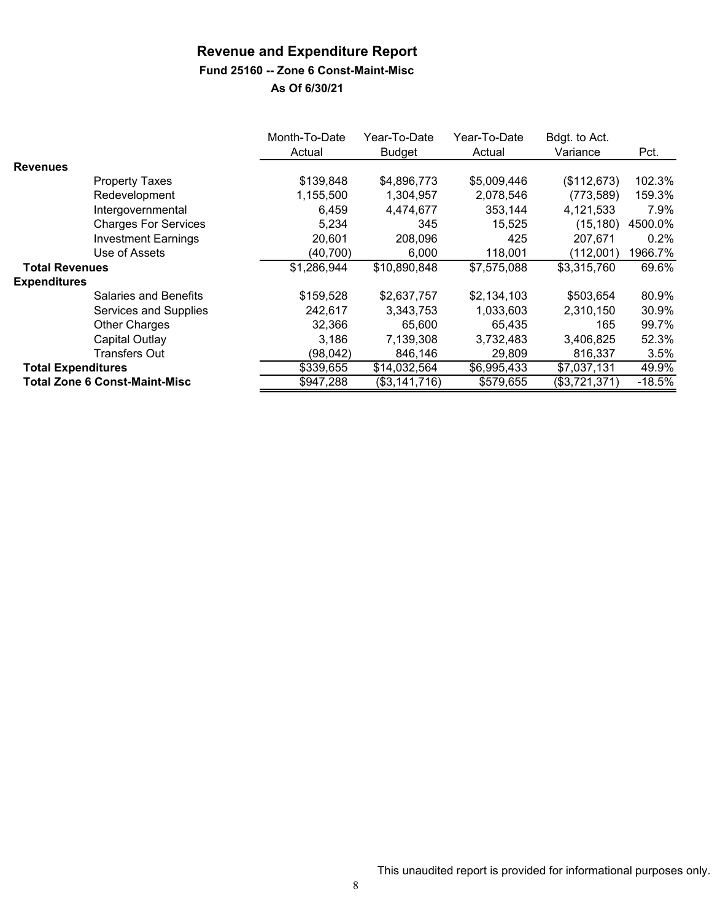#### **Fund 25160 -- Zone 6 Const-Maint-Misc**

|                           |                                      | Month-To-Date<br>Actual | Year-To-Date<br><b>Budget</b> | Year-To-Date<br>Actual | Bdgt. to Act.<br>Variance | Pct.     |
|---------------------------|--------------------------------------|-------------------------|-------------------------------|------------------------|---------------------------|----------|
| <b>Revenues</b>           |                                      |                         |                               |                        |                           |          |
|                           | <b>Property Taxes</b>                | \$139,848               | \$4,896,773                   | \$5,009,446            | (\$112,673)               | 102.3%   |
|                           | Redevelopment                        | 1,155,500               | 1,304,957                     | 2,078,546              | (773, 589)                | 159.3%   |
|                           | Intergovernmental                    | 6,459                   | 4,474,677                     | 353,144                | 4,121,533                 | 7.9%     |
|                           | <b>Charges For Services</b>          | 5,234                   | 345                           | 15,525                 | (15, 180)                 | 4500.0%  |
|                           | <b>Investment Earnings</b>           | 20,601                  | 208,096                       | 425                    | 207,671                   | 0.2%     |
|                           | Use of Assets                        | (40, 700)               | 6,000                         | 118,001                | (112,001)                 | 1966.7%  |
| <b>Total Revenues</b>     |                                      | \$1,286,944             | \$10,890,848                  | \$7,575,088            | \$3,315,760               | 69.6%    |
| <b>Expenditures</b>       |                                      |                         |                               |                        |                           |          |
|                           | Salaries and Benefits                | \$159,528               | \$2,637,757                   | \$2,134,103            | \$503,654                 | 80.9%    |
|                           | Services and Supplies                | 242,617                 | 3,343,753                     | 1,033,603              | 2,310,150                 | 30.9%    |
|                           | <b>Other Charges</b>                 | 32,366                  | 65,600                        | 65,435                 | 165                       | 99.7%    |
|                           | Capital Outlay                       | 3,186                   | 7,139,308                     | 3,732,483              | 3,406,825                 | 52.3%    |
|                           | <b>Transfers Out</b>                 | (98, 042)               | 846.146                       | 29,809                 | 816,337                   | 3.5%     |
| <b>Total Expenditures</b> |                                      | \$339,655               | \$14,032,564                  | \$6,995,433            | \$7,037,131               | 49.9%    |
|                           | <b>Total Zone 6 Const-Maint-Misc</b> | \$947,288               | (\$3,141,716)                 | \$579,655              | (\$3,721,371)             | $-18.5%$ |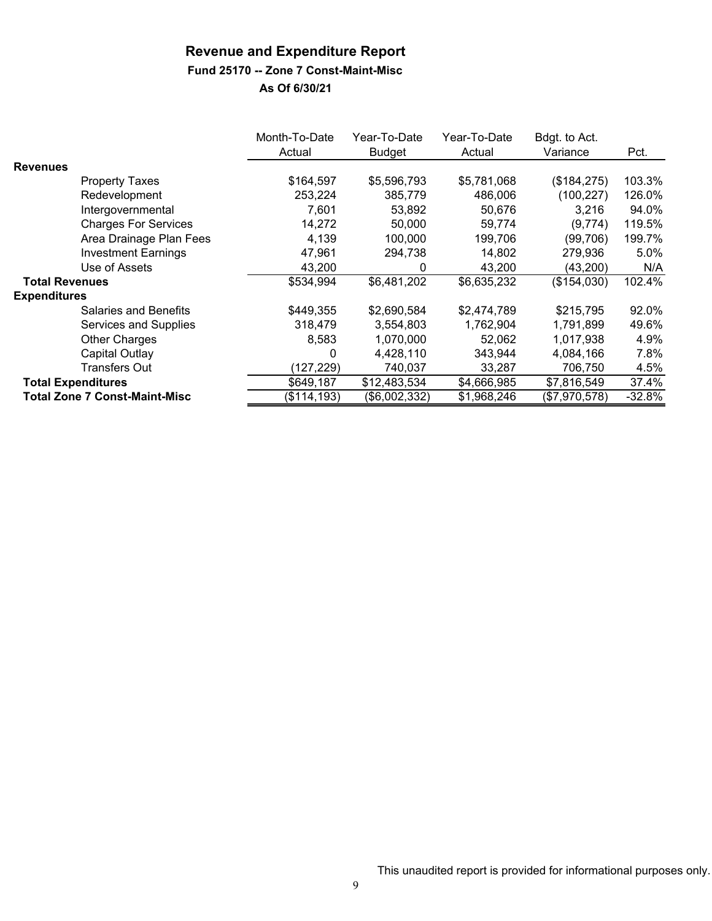#### **Fund 25170 -- Zone 7 Const-Maint-Misc**

|                       |                                      | Month-To-Date<br>Actual | Year-To-Date<br><b>Budget</b> | Year-To-Date<br>Actual | Bdgt. to Act.<br>Variance | Pct.     |
|-----------------------|--------------------------------------|-------------------------|-------------------------------|------------------------|---------------------------|----------|
| <b>Revenues</b>       |                                      |                         |                               |                        |                           |          |
|                       | <b>Property Taxes</b>                | \$164,597               | \$5,596,793                   | \$5,781,068            | (\$184,275)               | 103.3%   |
|                       | Redevelopment                        | 253,224                 | 385,779                       | 486,006                | (100, 227)                | 126.0%   |
|                       | Intergovernmental                    | 7,601                   | 53.892                        | 50.676                 | 3,216                     | 94.0%    |
|                       | <b>Charges For Services</b>          | 14,272                  | 50,000                        | 59,774                 | (9,774)                   | 119.5%   |
|                       | Area Drainage Plan Fees              | 4,139                   | 100,000                       | 199,706                | (99, 706)                 | 199.7%   |
|                       | <b>Investment Earnings</b>           | 47,961                  | 294,738                       | 14,802                 | 279,936                   | 5.0%     |
|                       | Use of Assets                        | 43,200                  | 0                             | 43,200                 | (43,200)                  | N/A      |
| <b>Total Revenues</b> |                                      | \$534,994               | \$6,481,202                   | \$6,635,232            | (\$154,030)               | 102.4%   |
| <b>Expenditures</b>   |                                      |                         |                               |                        |                           |          |
|                       | <b>Salaries and Benefits</b>         | \$449,355               | \$2,690,584                   | \$2,474,789            | \$215,795                 | 92.0%    |
|                       | Services and Supplies                | 318,479                 | 3,554,803                     | 1,762,904              | 1,791,899                 | 49.6%    |
|                       | <b>Other Charges</b>                 | 8.583                   | 1,070,000                     | 52,062                 | 1,017,938                 | 4.9%     |
|                       | Capital Outlay                       | 0                       | 4,428,110                     | 343,944                | 4,084,166                 | 7.8%     |
|                       | Transfers Out                        | (127, 229)              | 740,037                       | 33,287                 | 706,750                   | 4.5%     |
|                       | <b>Total Expenditures</b>            | \$649,187               | \$12,483,534                  | \$4,666,985            | \$7,816,549               | 37.4%    |
|                       | <b>Total Zone 7 Const-Maint-Misc</b> | (\$114, 193)            | (\$6,002,332)                 | \$1,968,246            | (\$7,970,578)             | $-32.8%$ |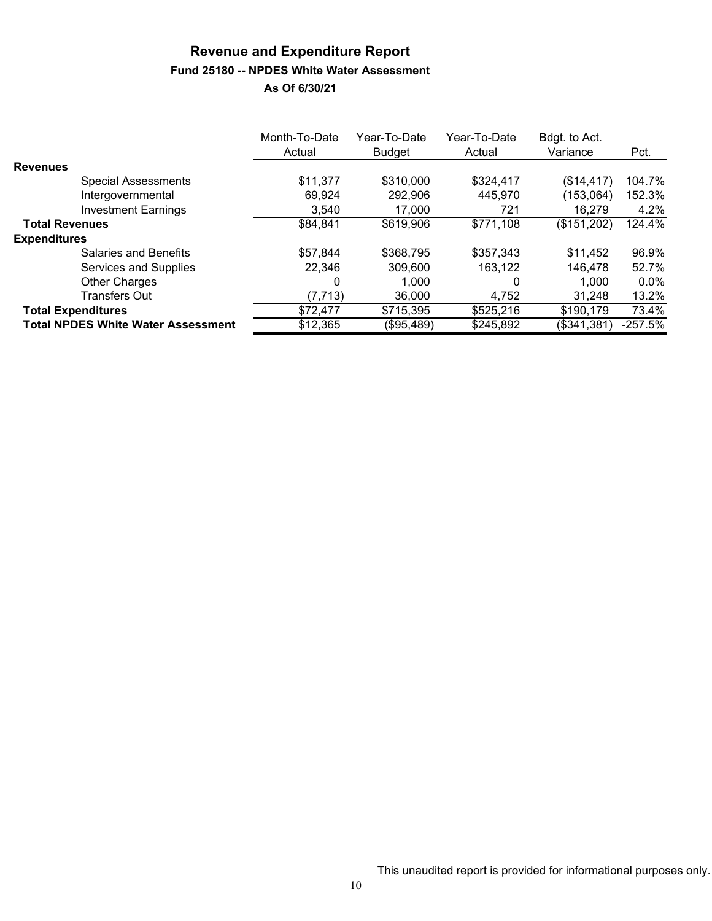# **Revenue and Expenditure Report Fund 25180 -- NPDES White Water Assessment**

|                                           | Month-To-Date<br>Actual | Year-To-Date<br><b>Budget</b> | Year-To-Date<br>Actual | Bdgt. to Act.<br>Variance | Pct.      |
|-------------------------------------------|-------------------------|-------------------------------|------------------------|---------------------------|-----------|
| <b>Revenues</b>                           |                         |                               |                        |                           |           |
| <b>Special Assessments</b>                | \$11,377                | \$310,000                     | \$324,417              | (\$14, 417)               | 104.7%    |
| Intergovernmental                         | 69.924                  | 292,906                       | 445,970                | (153,064)                 | 152.3%    |
| <b>Investment Earnings</b>                | 3.540                   | 17,000                        | 721                    | 16,279                    | 4.2%      |
| <b>Total Revenues</b>                     | \$84,841                | \$619,906                     | \$771,108              | (\$151,202)               | 124.4%    |
| <b>Expenditures</b>                       |                         |                               |                        |                           |           |
| Salaries and Benefits                     | \$57,844                | \$368,795                     | \$357,343              | \$11,452                  | 96.9%     |
| Services and Supplies                     | 22,346                  | 309,600                       | 163,122                | 146,478                   | 52.7%     |
| <b>Other Charges</b>                      | 0                       | 1.000                         | 0                      | 1,000                     | $0.0\%$   |
| <b>Transfers Out</b>                      | (7, 713)                | 36,000                        | 4,752                  | 31,248                    | 13.2%     |
| <b>Total Expenditures</b>                 | \$72,477                | \$715,395                     | \$525,216              | \$190,179                 | 73.4%     |
| <b>Total NPDES White Water Assessment</b> | \$12,365                | (\$95,489)                    | \$245,892              | (\$341,381)               | $-257.5%$ |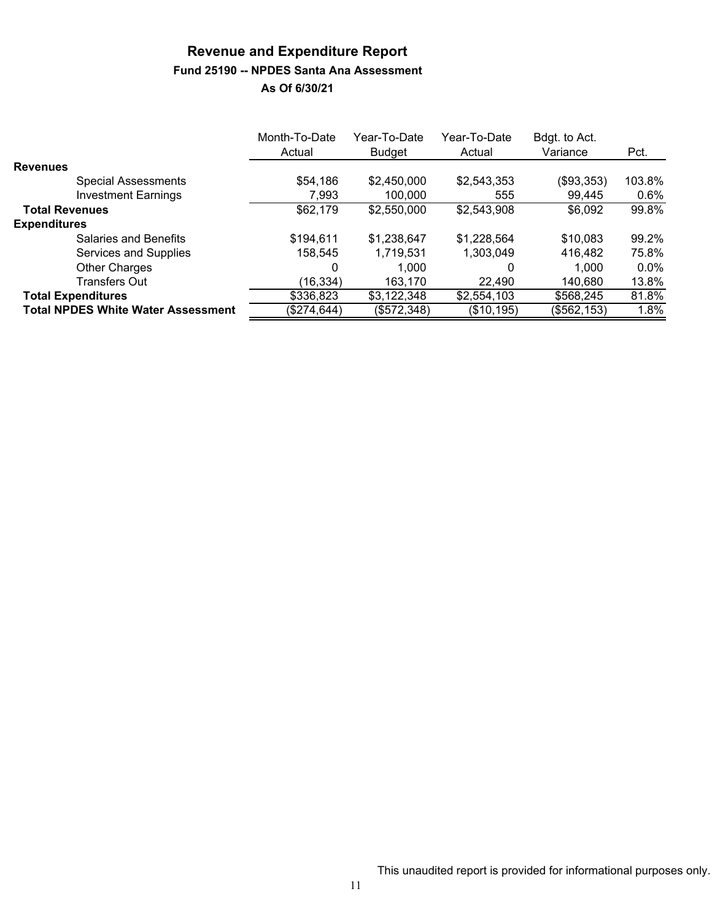# **Revenue and Expenditure Report Fund 25190 -- NPDES Santa Ana Assessment**

|                                           | Month-To-Date<br>Actual | Year-To-Date<br>Budget | Year-To-Date<br>Actual | Bdgt. to Act.<br>Variance | Pct.    |
|-------------------------------------------|-------------------------|------------------------|------------------------|---------------------------|---------|
| <b>Revenues</b>                           |                         |                        |                        |                           |         |
| <b>Special Assessments</b>                | \$54,186                | \$2,450,000            | \$2,543,353            | (\$93,353)                | 103.8%  |
| <b>Investment Earnings</b>                | 7,993                   | 100,000                | 555                    | 99,445                    | 0.6%    |
| <b>Total Revenues</b>                     | \$62,179                | \$2,550,000            | \$2,543,908            | \$6,092                   | 99.8%   |
| <b>Expenditures</b>                       |                         |                        |                        |                           |         |
| Salaries and Benefits                     | \$194,611               | \$1,238,647            | \$1,228,564            | \$10,083                  | 99.2%   |
| Services and Supplies                     | 158,545                 | 1,719,531              | 1,303,049              | 416,482                   | 75.8%   |
| <b>Other Charges</b>                      | 0                       | 1.000                  | 0                      | 1,000                     | $0.0\%$ |
| Transfers Out                             | (16, 334)               | 163,170                | 22.490                 | 140,680                   | 13.8%   |
| <b>Total Expenditures</b>                 | \$336,823               | \$3,122,348            | \$2,554,103            | \$568,245                 | 81.8%   |
| <b>Total NPDES White Water Assessment</b> | (\$274,644)             | (\$572,348)            | (\$10, 195)            | (\$562,153)               | 1.8%    |